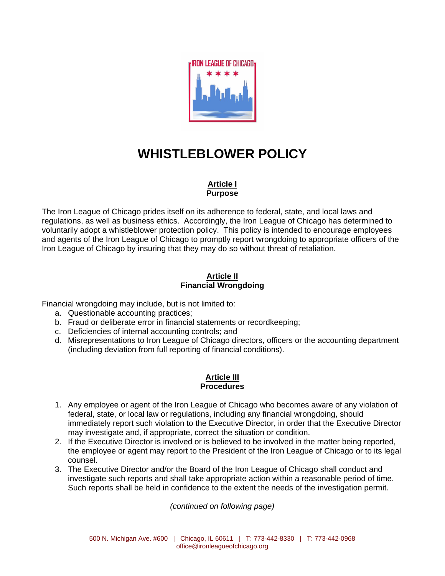

# **WHISTLEBLOWER POLICY**

## **Article I Purpose**

The Iron League of Chicago prides itself on its adherence to federal, state, and local laws and regulations, as well as business ethics. Accordingly, the Iron League of Chicago has determined to voluntarily adopt a whistleblower protection policy. This policy is intended to encourage employees and agents of the Iron League of Chicago to promptly report wrongdoing to appropriate officers of the Iron League of Chicago by insuring that they may do so without threat of retaliation.

## **Article II Financial Wrongdoing**

Financial wrongdoing may include, but is not limited to:

- a. Questionable accounting practices;
- b. Fraud or deliberate error in financial statements or recordkeeping;
- c. Deficiencies of internal accounting controls; and
- d. Misrepresentations to Iron League of Chicago directors, officers or the accounting department (including deviation from full reporting of financial conditions).

## **Article III Procedures**

- 1. Any employee or agent of the Iron League of Chicago who becomes aware of any violation of federal, state, or local law or regulations, including any financial wrongdoing, should immediately report such violation to the Executive Director, in order that the Executive Director may investigate and, if appropriate, correct the situation or condition.
- 2. If the Executive Director is involved or is believed to be involved in the matter being reported, the employee or agent may report to the President of the Iron League of Chicago or to its legal counsel.
- 3. The Executive Director and/or the Board of the Iron League of Chicago shall conduct and investigate such reports and shall take appropriate action within a reasonable period of time. Such reports shall be held in confidence to the extent the needs of the investigation permit.

*(continued on following page)*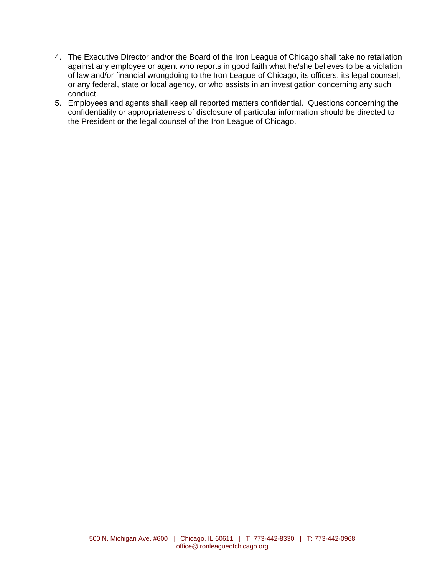- 4. The Executive Director and/or the Board of the Iron League of Chicago shall take no retaliation against any employee or agent who reports in good faith what he/she believes to be a violation of law and/or financial wrongdoing to the Iron League of Chicago, its officers, its legal counsel, or any federal, state or local agency, or who assists in an investigation concerning any such conduct.
- 5. Employees and agents shall keep all reported matters confidential. Questions concerning the confidentiality or appropriateness of disclosure of particular information should be directed to the President or the legal counsel of the Iron League of Chicago.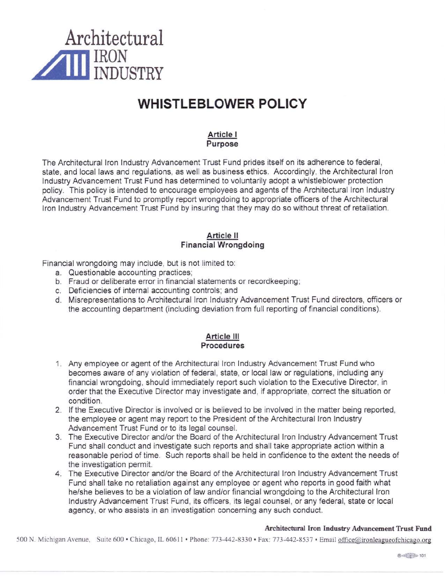

## **WHISTLEBLOWER POLICY**

### Article I Purpose

The Architectural Iron Industry Advancement Trust Fund prides itself on its adherence to federal, state, and local laws and regulations, as well as business ethics. Accordingly, the Architectural Iron Industry Advancement Trust Fund has determined to voluntarily adopt a whistleblower protection policy. This policy is intended to encourage employees and agents of the Architectural Iron Industry Advancement Trust Fund to promptly report wrongdoing to appropriate officers of the Architectural Iron Industry Advancement Trust Fund by insuring that they may do so without threat of retaliation.

#### **Article II Financial Wrongdoing**

Financial wrongdoing may include, but is not limited to:

- a. Questionable accounting practices;
- b. Fraud or deliberate error in financial statements or recordkeeping;
- c. Deficiencies of internal accounting controls; and
- d. Misrepresentations to Architectural Iron Industry Advancement Trust Fund directors, officers or the accounting department (including deviation from full reporting of financial conditions).

### **Article III** Procedures

- 1. Any employee or agent of the Architectural Iron Industry Advancement Trust Fund who becomes aware of any violation of federal, state, or local law or regulations, including any financial wrongdoing, should immediately report such violation to the Executive Director, in order that the Executive Director may investigate and, if appropriate, correct the situation or condition.
- 2. If the Executive Director is involved or is believed to be involved in the matter being reported, the employee or agent may report to the President of the Architectural Iron Industry Advancement Trust Fund or to its legal counsel.
- 3. The Executive Director and/or the Board of the Architectural Iron Industry Advancement Trust Fund shall conduct and investigate such reports and shall take appropriate action within a reasonable period of time. Such reports shall be held in confidence to the extent the needs of the investigation permit.
- 4. The Executive Director and/or the Board of the Architectural Iron Industry Advancement Trust Fund shall take no retaliation against any employee or agent who reports in good faith what he/she believes to be a violation of law and/or financial wrongdoing to the Architectural Iron Industry Advancement Trust Fund, its officers, its legal counsel, or any federal, state or local agency, or who assists in an investigation concerning any such conduct.

### Architectural Iron Industry Advancement Trust Fund

500 N. Michigan Avenue, Suite 600 · Chicago, IL 60611 · Phone: 773-442-8330 · Fax: 773-442-8537 · Email office@ironleagueofchicago.org